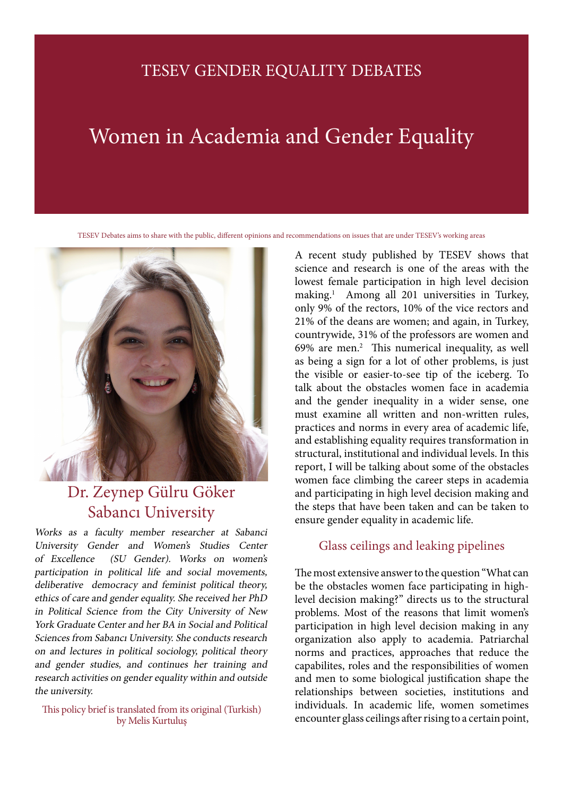# TESEV GENDER EQUALITY DEBATES

# Women in Academia and Gender Equality

TESEV Debates aims to share with the public, different opinions and recommendations on issues that are under TESEV's working areas



# Dr. Zeynep Gülru Göker Sabancı University

Works as a faculty member researcher at Sabanci University Gender and Women's Studies Center of Excellence (SU Gender). Works on women's participation in political life and social movements, deliberative democracy and feminist political theory, ethics of care and gender equality. She received her PhD in Political Science from the City University of New York Graduate Center and her BA in Social and Political Sciences from Sabancı University. She conducts research on and lectures in political sociology, political theory and gender studies, and continues her training and research activities on gender equality within and outside the university.

by Melis Kurtuluş

A recent study published by TESEV shows that science and research is one of the areas with the lowest female participation in high level decision making.1 Among all 201 universities in Turkey, only 9% of the rectors, 10% of the vice rectors and 21% of the deans are women; and again, in Turkey, countrywide, 31% of the professors are women and 69% are men.<sup>2</sup> This numerical inequality, as well as being a sign for a lot of other problems, is just the visible or easier-to-see tip of the iceberg. To talk about the obstacles women face in academia and the gender inequality in a wider sense, one must examine all written and non-written rules, practices and norms in every area of academic life, and establishing equality requires transformation in structural, institutional and individual levels. In this report, I will be talking about some of the obstacles women face climbing the career steps in academia and participating in high level decision making and the steps that have been taken and can be taken to ensure gender equality in academic life.

## Glass ceilings and leaking pipelines

The most extensive answer to the question "What can be the obstacles women face participating in highlevel decision making?" directs us to the structural problems. Most of the reasons that limit women's participation in high level decision making in any organization also apply to academia. Patriarchal norms and practices, approaches that reduce the capabilites, roles and the responsibilities of women and men to some biological justification shape the relationships between societies, institutions and individuals. In academic life, women sometimes This policy brief is translated from its original (Turkish)<br>by Melis Kurtulus encounter glass ceilings after rising to a certain point,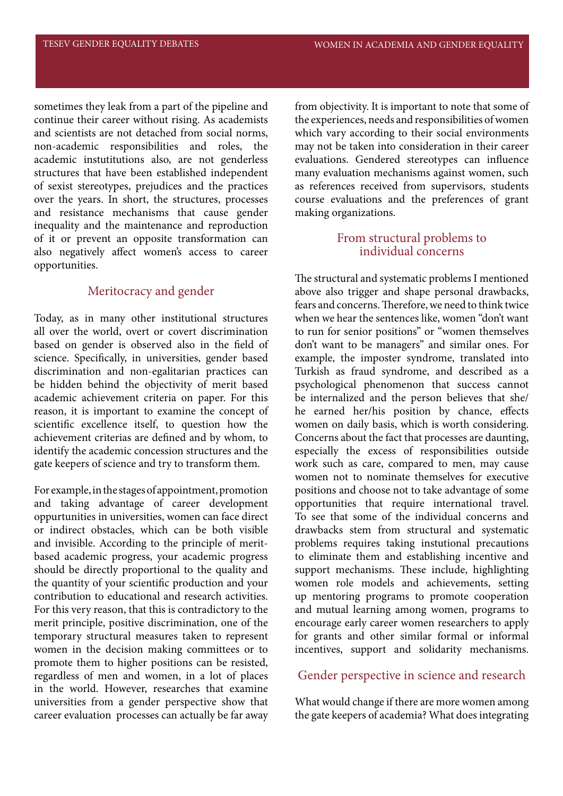sometimes they leak from a part of the pipeline and continue their career without rising. As academists and scientists are not detached from social norms, non-academic responsibilities and roles, the academic instutitutions also, are not genderless structures that have been established independent of sexist stereotypes, prejudices and the practices over the years. In short, the structures, processes and resistance mechanisms that cause gender inequality and the maintenance and reproduction of it or prevent an opposite transformation can also negatively affect women's access to career opportunities.

#### Meritocracy and gender

Today, as in many other institutional structures all over the world, overt or covert discrimination based on gender is observed also in the field of science. Specifically, in universities, gender based discrimination and non-egalitarian practices can be hidden behind the objectivity of merit based academic achievement criteria on paper. For this reason, it is important to examine the concept of scientific excellence itself, to question how the achievement criterias are defined and by whom, to identify the academic concession structures and the gate keepers of science and try to transform them.

For example, in the stages of appointment, promotion and taking advantage of career development oppurtunities in universities, women can face direct or indirect obstacles, which can be both visible and invisible. According to the principle of meritbased academic progress, your academic progress should be directly proportional to the quality and the quantity of your scientific production and your contribution to educational and research activities. For this very reason, that this is contradictory to the merit principle, positive discrimination, one of the temporary structural measures taken to represent women in the decision making committees or to promote them to higher positions can be resisted, regardless of men and women, in a lot of places in the world. However, researches that examine universities from a gender perspective show that career evaluation processes can actually be far away from objectivity. It is important to note that some of the experiences, needs and responsibilities of women which vary according to their social environments may not be taken into consideration in their career evaluations. Gendered stereotypes can influence many evaluation mechanisms against women, such as references received from supervisors, students course evaluations and the preferences of grant making organizations.

#### From structural problems to individual concerns

The structural and systematic problems I mentioned above also trigger and shape personal drawbacks, fears and concerns. Therefore, we need to think twice when we hear the sentences like, women "don't want to run for senior positions" or "women themselves don't want to be managers" and similar ones. For example, the imposter syndrome, translated into Turkish as fraud syndrome, and described as a psychological phenomenon that success cannot be internalized and the person believes that she/ he earned her/his position by chance, effects women on daily basis, which is worth considering. Concerns about the fact that processes are daunting, especially the excess of responsibilities outside work such as care, compared to men, may cause women not to nominate themselves for executive positions and choose not to take advantage of some opportunities that require international travel. To see that some of the individual concerns and drawbacks stem from structural and systematic problems requires taking instutional precautions to eliminate them and establishing incentive and support mechanisms. These include, highlighting women role models and achievements, setting up mentoring programs to promote cooperation and mutual learning among women, programs to encourage early career women researchers to apply for grants and other similar formal or informal incentives, support and solidarity mechanisms.

#### Gender perspective in science and research

What would change if there are more women among the gate keepers of academia? What does integrating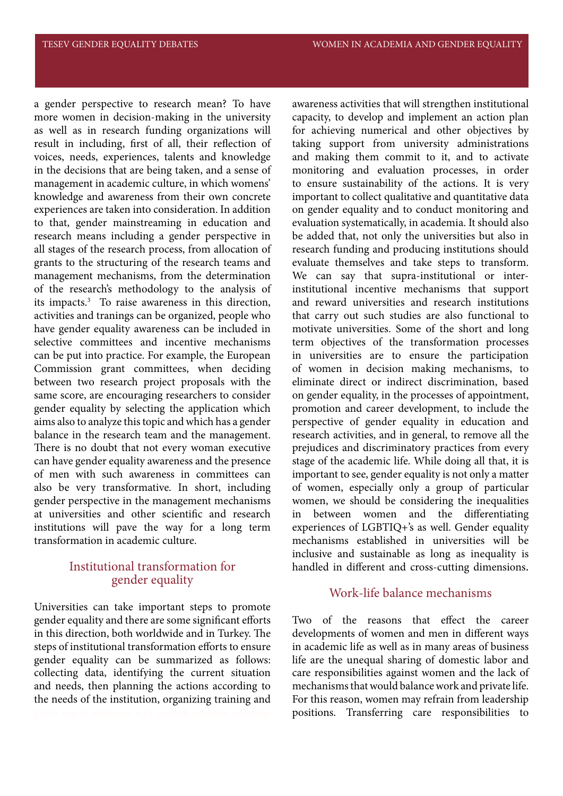a gender perspective to research mean? To have more women in decision-making in the university as well as in research funding organizations will result in including, first of all, their reflection of voices, needs, experiences, talents and knowledge in the decisions that are being taken, and a sense of management in academic culture, in which womens' knowledge and awareness from their own concrete experiences are taken into consideration. In addition to that, gender mainstreaming in education and research means including a gender perspective in all stages of the research process, from allocation of grants to the structuring of the research teams and management mechanisms, from the determination of the research's methodology to the analysis of its impacts.3 To raise awareness in this direction, activities and tranings can be organized, people who have gender equality awareness can be included in selective committees and incentive mechanisms can be put into practice. For example, the European Commission grant committees, when deciding between two research project proposals with the same score, are encouraging researchers to consider gender equality by selecting the application which aims also to analyze this topic and which has a gender balance in the research team and the management. There is no doubt that not every woman executive can have gender equality awareness and the presence of men with such awareness in committees can also be very transformative. In short, including gender perspective in the management mechanisms at universities and other scientific and research institutions will pave the way for a long term transformation in academic culture.

## Institutional transformation for gender equality

Universities can take important steps to promote gender equality and there are some significant efforts in this direction, both worldwide and in Turkey. The steps of institutional transformation efforts to ensure gender equality can be summarized as follows: collecting data, identifying the current situation and needs, then planning the actions according to the needs of the institution, organizing training and

awareness activities that will strengthen institutional capacity, to develop and implement an action plan for achieving numerical and other objectives by taking support from university administrations and making them commit to it, and to activate monitoring and evaluation processes, in order to ensure sustainability of the actions. It is very important to collect qualitative and quantitative data on gender equality and to conduct monitoring and evaluation systematically, in academia. It should also be added that, not only the universities but also in research funding and producing institutions should evaluate themselves and take steps to transform. We can say that supra-institutional or interinstitutional incentive mechanisms that support and reward universities and research institutions that carry out such studies are also functional to motivate universities. Some of the short and long term objectives of the transformation processes in universities are to ensure the participation of women in decision making mechanisms, to eliminate direct or indirect discrimination, based on gender equality, in the processes of appointment, promotion and career development, to include the perspective of gender equality in education and research activities, and in general, to remove all the prejudices and discriminatory practices from every stage of the academic life. While doing all that, it is important to see, gender equality is not only a matter of women, especially only a group of particular women, we should be considering the inequalities in between women and the differentiating experiences of LGBTIQ+'s as well. Gender equality mechanisms established in universities will be inclusive and sustainable as long as inequality is handled in different and cross-cutting dimensions.

## Work-life balance mechanisms

Two of the reasons that effect the career developments of women and men in different ways in academic life as well as in many areas of business life are the unequal sharing of domestic labor and care responsibilities against women and the lack of mechanisms that would balance work and private life. For this reason, women may refrain from leadership positions. Transferring care responsibilities to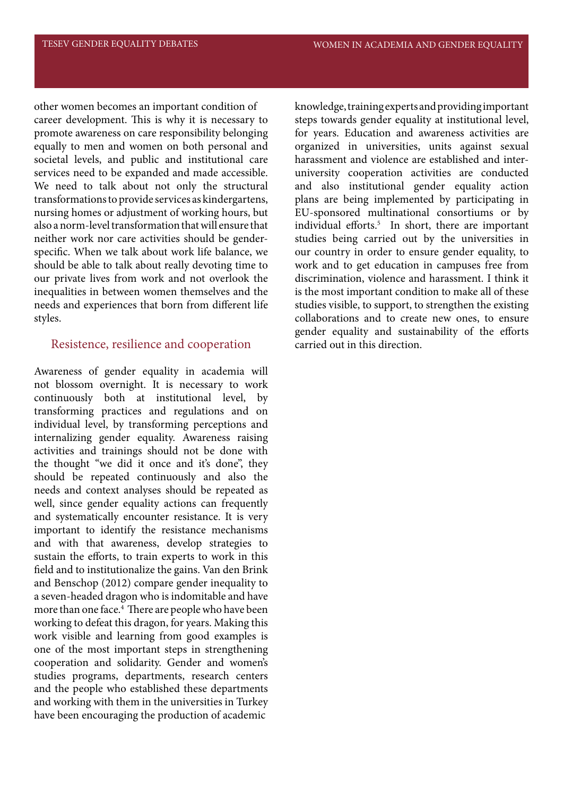other women becomes an important condition of career development. This is why it is necessary to promote awareness on care responsibility belonging equally to men and women on both personal and societal levels, and public and institutional care services need to be expanded and made accessible. We need to talk about not only the structural transformations to provide services as kindergartens, nursing homes or adjustment of working hours, but also a norm-level transformation that will ensure that neither work nor care activities should be genderspecific. When we talk about work life balance, we should be able to talk about really devoting time to our private lives from work and not overlook the inequalities in between women themselves and the needs and experiences that born from different life styles.

#### Resistence, resilience and cooperation

Awareness of gender equality in academia will not blossom overnight. It is necessary to work continuously both at institutional level, by transforming practices and regulations and on individual level, by transforming perceptions and internalizing gender equality. Awareness raising activities and trainings should not be done with the thought "we did it once and it's done", they should be repeated continuously and also the needs and context analyses should be repeated as well, since gender equality actions can frequently and systematically encounter resistance. It is very important to identify the resistance mechanisms and with that awareness, develop strategies to sustain the efforts, to train experts to work in this field and to institutionalize the gains. Van den Brink and Benschop (2012) compare gender inequality to a seven-headed dragon who is indomitable and have more than one face.<sup>4</sup> There are people who have been working to defeat this dragon, for years. Making this work visible and learning from good examples is one of the most important steps in strengthening cooperation and solidarity. Gender and women's studies programs, departments, research centers and the people who established these departments and working with them in the universities in Turkey have been encouraging the production of academic

knowledge, training experts and providing important steps towards gender equality at institutional level, for years. Education and awareness activities are organized in universities, units against sexual harassment and violence are established and interuniversity cooperation activities are conducted and also institutional gender equality action plans are being implemented by participating in EU-sponsored multinational consortiums or by individual efforts.<sup>5</sup> In short, there are important studies being carried out by the universities in our country in order to ensure gender equality, to work and to get education in campuses free from discrimination, violence and harassment. I think it is the most important condition to make all of these studies visible, to support, to strengthen the existing collaborations and to create new ones, to ensure gender equality and sustainability of the efforts carried out in this direction.